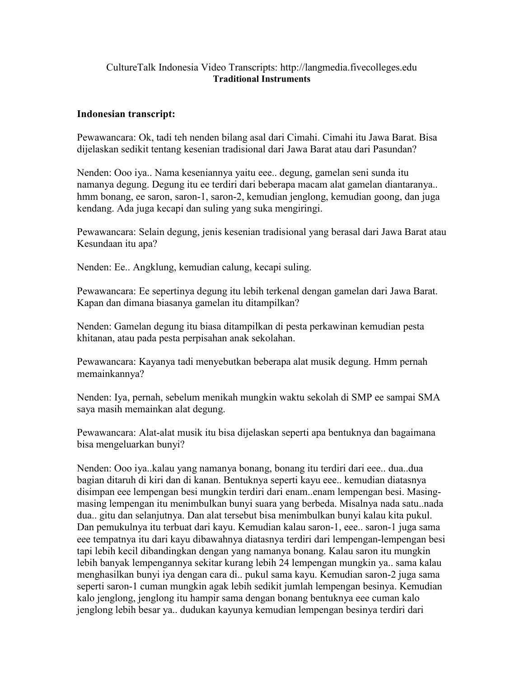## CultureTalk Indonesia Video Transcripts: http://langmedia.fivecolleges.edu Traditional Instruments

## Indonesian transcript:

Pewawancara: Ok, tadi teh nenden bilang asal dari Cimahi. Cimahi itu Jawa Barat. Bisa dijelaskan sedikit tentang kesenian tradisional dari Jawa Barat atau dari Pasundan?

Nenden: Ooo iya.. Nama keseniannya yaitu eee.. degung, gamelan seni sunda itu namanya degung. Degung itu ee terdiri dari beberapa macam alat gamelan diantaranya.. hmm bonang, ee saron, saron-1, saron-2, kemudian jenglong, kemudian goong, dan juga kendang. Ada juga kecapi dan suling yang suka mengiringi.

Pewawancara: Selain degung, jenis kesenian tradisional yang berasal dari Jawa Barat atau Kesundaan itu apa?

Nenden: Ee.. Angklung, kemudian calung, kecapi suling.

Pewawancara: Ee sepertinya degung itu lebih terkenal dengan gamelan dari Jawa Barat. Kapan dan dimana biasanya gamelan itu ditampilkan?

Nenden: Gamelan degung itu biasa ditampilkan di pesta perkawinan kemudian pesta khitanan, atau pada pesta perpisahan anak sekolahan.

Pewawancara: Kayanya tadi menyebutkan beberapa alat musik degung. Hmm pernah memainkannya?

Nenden: Iya, pernah, sebelum menikah mungkin waktu sekolah di SMP ee sampai SMA saya masih memainkan alat degung.

Pewawancara: Alat-alat musik itu bisa dijelaskan seperti apa bentuknya dan bagaimana bisa mengeluarkan bunyi?

Nenden: Ooo iya..kalau yang namanya bonang, bonang itu terdiri dari eee.. dua..dua bagian ditaruh di kiri dan di kanan. Bentuknya seperti kayu eee.. kemudian diatasnya disimpan eee lempengan besi mungkin terdiri dari enam..enam lempengan besi. Masingmasing lempengan itu menimbulkan bunyi suara yang berbeda. Misalnya nada satu..nada dua.. gitu dan selanjutnya. Dan alat tersebut bisa menimbulkan bunyi kalau kita pukul. Dan pemukulnya itu terbuat dari kayu. Kemudian kalau saron-1, eee.. saron-1 juga sama eee tempatnya itu dari kayu dibawahnya diatasnya terdiri dari lempengan-lempengan besi tapi lebih kecil dibandingkan dengan yang namanya bonang. Kalau saron itu mungkin lebih banyak lempengannya sekitar kurang lebih 24 lempengan mungkin ya.. sama kalau menghasilkan bunyi iya dengan cara di.. pukul sama kayu. Kemudian saron-2 juga sama seperti saron-1 cuman mungkin agak lebih sedikit jumlah lempengan besinya. Kemudian kalo jenglong, jenglong itu hampir sama dengan bonang bentuknya eee cuman kalo jenglong lebih besar ya.. dudukan kayunya kemudian lempengan besinya terdiri dari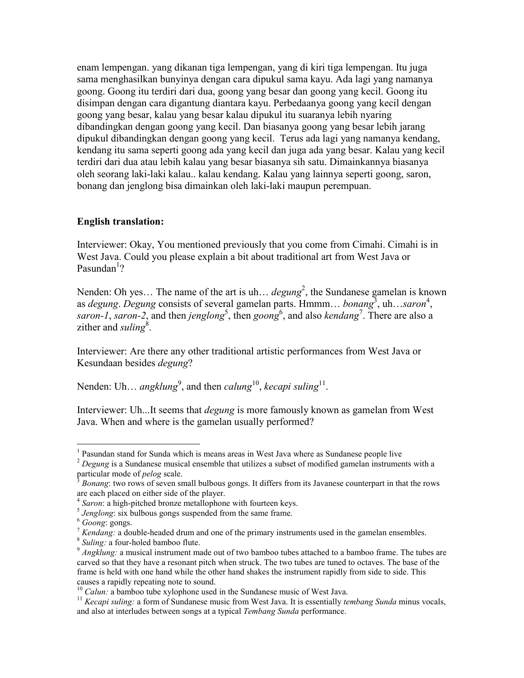enam lempengan. yang dikanan tiga lempengan, yang di kiri tiga lempengan. Itu juga sama menghasilkan bunyinya dengan cara dipukul sama kayu. Ada lagi yang namanya goong. Goong itu terdiri dari dua, goong yang besar dan goong yang kecil. Goong itu disimpan dengan cara digantung diantara kayu. Perbedaanya goong yang kecil dengan goong yang besar, kalau yang besar kalau dipukul itu suaranya lebih nyaring dibandingkan dengan goong yang kecil. Dan biasanya goong yang besar lebih jarang dipukul dibandingkan dengan goong yang kecil. Terus ada lagi yang namanya kendang, kendang itu sama seperti goong ada yang kecil dan juga ada yang besar. Kalau yang kecil terdiri dari dua atau lebih kalau yang besar biasanya sih satu. Dimainkannya biasanya oleh seorang laki-laki kalau.. kalau kendang. Kalau yang lainnya seperti goong, saron, bonang dan jenglong bisa dimainkan oleh laki-laki maupun perempuan.

## English translation:

Interviewer: Okay, You mentioned previously that you come from Cimahi. Cimahi is in West Java. Could you please explain a bit about traditional art from West Java or Pasundan<sup>1</sup>?

Nenden: Oh yes... The name of the art is uh...  $degung^2$ , the Sundanese gamelan is known as *degung. Degung* consists of several gamelan parts. Hmmm... *bonang*<sup>3</sup>, uh...saron<sup>4</sup>, saron-1, saron-2, and then jenglong<sup>5</sup>, then goong<sup>6</sup>, and also kendang<sup>7</sup>. There are also a zither and suling<sup>8</sup>.

Interviewer: Are there any other traditional artistic performances from West Java or Kesundaan besides degung?

Nenden: Uh... angklung<sup>9</sup>, and then *calung*<sup>10</sup>, kecapi suling<sup>11</sup>.

Interviewer: Uh...It seems that *degung* is more famously known as gamelan from West Java. When and where is the gamelan usually performed?

<sup>&</sup>lt;sup>1</sup> Pasundan stand for Sunda which is means areas in West Java where as Sundanese people live

 $2$  Degung [is a Sundanese](http://en.wikipedia.org/wiki/Sundanese) [musical ensemble](http://en.wikipedia.org/wiki/Musical_ensemble) that utilizes a subset of modified [gamelan](http://en.wikipedia.org/wiki/Gamelan) instruments with a particular mode of *pelog* scale.

 $3$  Bonang: two rows of seven small bulbous gongs. It differs from its Javanese counterpart in that the rows are each placed on either side of the player.

<sup>&</sup>lt;sup>4</sup> Saron: a high-pitched bronze metallophone with fourteen keys.

 $<sup>5</sup> Jenglong$ : six bulbous gongs suspended from the same frame.</sup>

<sup>&</sup>lt;sup>6</sup> Goong: gongs.

 $\frac{7}{1}$  Kendang: a double-headed drum and one of the primary instruments used in the [gamelan](http://en.wikipedia.org/wiki/Gamelan) ensembles.

<sup>&</sup>lt;sup>8</sup> Suling: a four-holed bamboo flute.

 $9$  Angklung: a musical instrument made out of two [bamboo](http://en.wikipedia.org/wiki/Bamboo) tubes attached to a bamboo frame. The tubes are carved so that they have a resonant pitch when struck. The two tubes are tuned to [octaves.](http://en.wikipedia.org/wiki/Octave) The base of the frame is held with one hand while the other hand shakes the instrument rapidly from side to side. This causes a rapidly repeating note to sound.

 $10$  Calun: a [bamboo](http://en.wikipedia.org/wiki/Bamboo) tube [xylophone](http://en.wikipedia.org/wiki/Xylophone) used in the [Sundanese](http://en.wikipedia.org/wiki/Sundanese_people) music of [West Java.](http://en.wikipedia.org/wiki/West_Java)

 $11$  Kecapi suling: a form of [Sundanese](http://en.wikipedia.org/wiki/Sundanese_people) music from [West Java.](http://en.wikipedia.org/wiki/West_Java) It is essentially [tembang Sunda](http://en.wikipedia.org/wiki/Tembang_Sunda) minus vocals, and also at interludes between songs at a typical Tembang Sunda performance.